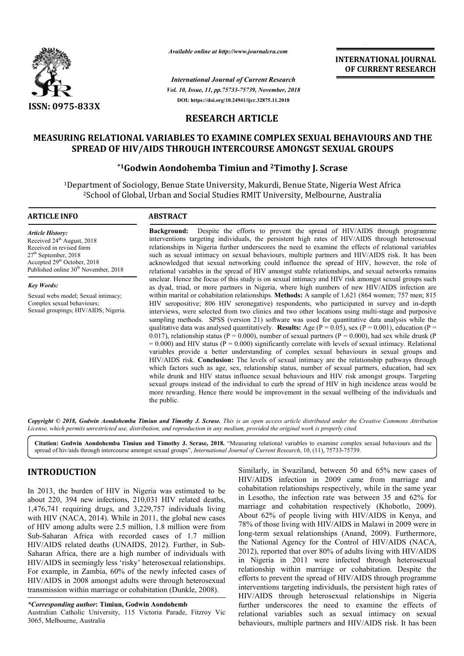

*Available online at http://www.journalcra.com*

*Vol. 10, Issue, 11, pp.75733-75739, November, 2018 International Journal of Current Research* **DOI: https://doi.org/10.24941/ijcr.32875.11.2018**

# **INTERNATIONAL JOURNAL OF CURRENT RESEARCH**

# **RESEARCH ARTICLE**

# **MEASURING RELATIONAL VARIABLES TO EXAMINE COMPLEX SEXUAL BEHAVIOURS AND THE SPREAD OF HIV/AIDS THROUGH INTERCOURSE AMONGST SEXUAL GROUPS** IONAL VARIABLES TO EXAMINE COMPLEX SEXUAL BEHA<br>F HIV/AIDS THROUGH INTERCOURSE AMONGST SEXUAL<br>\*<sup>1</sup>Godwin Aondohemba Timiun and <sup>2</sup>Timothy J. Scrase

1Department of Sociology, Benue State University, Makurdi, Benue State, Nigeria West Africa Department of Sociology, Benue State University, Makurdi, Benue State, Nigeria West *I*<br><sup>2</sup>School of Global, Urban and Social Studies RMIT University, Melbourne, Australia

#### **ARTICLE INFO ABSTRACT**

*Article History:* Received 24<sup>th</sup> August, 2018 Received in revised form 27<sup>th</sup> September, 2018 Accepted 29<sup>th</sup> October, 2018 Published online 30<sup>th</sup> November, 2018

*Key Words:*

Sexual webs model; Sexual intimacy; Complex sexual behaviours; Sexual groupings; HIV/AIDS; Nigeria.

**Background: Background:** Despite the efforts to prevent the spread of HIV/AIDS through programme interventions targeting individuals, the persistent high rates of HIV/AIDS through heterosexual relationships in Nigeria further underscores the need to examine the effects of relational variables such as sexual intimacy on sexual behaviours, multiple partners and HIV/AIDS risk. It has been acknowledged that sexual networking could influence the spread of HIV, however, the role of relational variables in the spread of HIV amongst stable relationships, and sexual networks remains unclear. Hence the focus of this study is on sexual intimacy and HIV risk amongst sexual groups such as dyad, triad, or more partners in Nigeria, where high numbers of new HIV/AIDS infection are within marital or cohabitation relationships. **Methods:** A sample of 1,621 (864 women; 757 men; 815 HIV seropositive; 806 HIV seronegative) respondents, who participated in survey and in-depth interviews, were selected from two clinics and two other locations using multi-stage and purposive sampling methods. SPSS (version 21) software was used for quantitative data analysis while the qualitative data was analysed quantitatively. **Results:** Age ( $P = 0.05$ ), sex ( $P = 0.001$ ), education ( $P =$ 0.017), relationship status (P = 0.000), number of sexual partners (P = 0.000), had sex while drunk (P  $= 0.000$ ) and HIV status (P = 0.000) significantly correlate with levels of sexual intimacy. Relational variables provide a better understanding of complex sexual behaviours in sexual groups and HIV/AIDS risk. **Conclusion:** The levels of sexual intimacy are the relationship pathways through which factors such as age, sex, relationship status, number of sexual partners, education, had sex while drunk and HIV status influence sexual behaviours and HIV risk amongst groups. Targeting sexual groups instead of the individual to curb the spread of HIV in high incidence areas would be more rewarding. Hence there would be improvement in the sexual wellbeing of the individuals and the public. Despite the efforts to prevent the spread of HIV/AIDS through programme relationships in Nigeria further underscores the need to examine the effects of relational variables such as sexual intimacy on sexual behaviours, multiple partners and HIV/AIDS risk. It has been acknowledged that sexual n as dyad, triad, or more partners in Nigeria, where high numbers of new HIV/AIDS infection are<br>within marital or cohabitation relationships. **Methods:** A sample of 1,621 (864 women; 757 men; 815<br>HIV seropositive; 806 HIV se sampling methods. SPSS (version 21) software was used for quantitative data analysis while the qualitative data was analysed quantitatively. **Results:** Age (P = 0.05), sex (P = 0.001), education (P = 0.017), relationship variables provide a better understanding of complex sexual behaviours in sexual gro HIV/AIDS risk. **Conclusion:** The levels of sexual intimacy are the relationship pathways which factors such as age, sex, relationship stat **INTERNATIONAL JOURNAL**<br> **INTERNATIONAL JOURNAL<br>
<b>I** OF CURRENT RESEARCH<br> **I** OF CURRENT RESEARCH<br> **I** OF CURRENT RESEARCH<br> **PLEX SEXUAL BEHAVIOURS AND THE**<br> **IAMONGST SEXUAL GROUPS**<br> **I.** Benue State, Nigeria West Africa<br>

Copyright © 2018, Godwin Aondohemba Timiun and Timothy J. Scrase. This is an open access article distributed under the Creative Commons Attribution License, which permits unrestricted use, distribution, and reproduction in any medium, provided the original work is properly cited.

Citation: Godwin Aondohemba Timiun and Timothy J. Scrase, 2018. "Measuring relational variables to examine complex sexual behaviours and the spread of hiv/aids through intercourse amongst sexual groups", *International Journal of Current Research*, 10, (11), 75733-75739.

# **INTRODUCTION**

In 2013, the burden of HIV in Nigeria was estimated to be about 220, 394 new infections, 210,031 HIV related deaths, 1,476,741 requiring drugs, and 3,229,757 individuals living with HIV (NACA, 2014). While in 2011, the global new cases of HIV among adults were 2.5 million, 1.8 million were from Sub-Saharan Africa with recorded cases of 1.7 million Sub-Saharan Africa with recorded cases of 1.7 million<br>HIV/AIDS related deaths (UNAIDS, 2012). Further, in Sub-Saharan Africa, there are a high number of individuals with HIV/AIDS in seemingly less 'risky' heterosexual relationships. For example, in Zambia, 60% of the newly infected cases of HIV/AIDS in 2008 amongst adults were through heterosexual transmission within marriage or cohabitation (Dunkle, 2008).

*\*Corresponding author***: Timiun, Godwin Aondohemb**

Australian Catholic University, 115 Victoria Parade, Fitzroy Vic 3065, Melbourne, Australia

Similarly, in Swaziland, between 50 and 65% new cases of HIV/AIDS infection in 2009 came from marriage and cohabitation relationships respectively, while in the same year in Lesotho, the infection rate was between 35 and 62% for marriage and cohabitation respectively (Khobotlo, 2009). About 62% of people living with HIV/AIDS in Kenya, and 78% of those living with HIV/AIDS in Malawi in 2009 were in long-term sexual relationships (Anand, 2009). Furthe the National Agency for the Control of HIV/AIDS (NACA, 2012), reported that over 80% of adults living with HIV/AIDS in Nigeria in 2011 were infected through heterosexual relationship within marriage or cohabitation. Despite the efforts to prevent the spread of HIV/AIDS through programme interventions targeting individuals, the persistent high rates of HIV/AIDS through heterosexual relationships in Nigeria further underscores the need to examine the effects of relational variables such as sexual intim behaviours, multiple partners and HIV/AIDS risk. It has been arly, in Swaziland, between 50 and 65% new cases of AIDS infection in 2009 came from marriage and bitation relationships respectively, while in the same year essotho, the infection rate was between 35 and 62% for age and c the National Agency for the Control of HIV/AIDS (NACA, 2012), reported that over 80% of adults living with HIV/AIDS in Nigeria in 2011 were infected through heterosexual relationship within marriage or cohabitation. Despit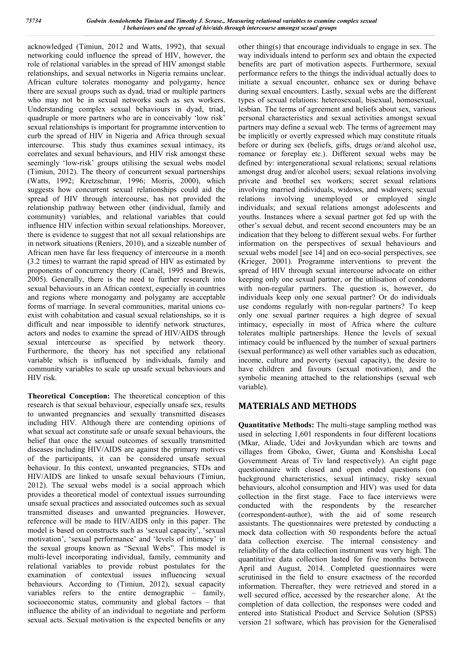acknowledged (Timiun, 2012 and Watts, 1992), that sexual networking could influence the spread of HIV, however, the role of relational variables in the spread of HIV amongst stable relationships, and sexual networks in Nigeria remains unclear. African culture tolerates monogamy and polygamy, hence there are sexual groups such as dyad, triad or multiple partners who may not be in sexual networks such as sex workers. Understanding complex sexual behaviours in dyad, triad, quadruple or more partners who are in conceivably 'low risk' sexual relationships is important for programme intervention to curb the spread of HIV in Nigeria and Africa through sexual intercourse. This study thus examines sexual intimacy, its correlates and sexual behaviours, and HIV risk amongst these seemingly 'low-risk' groups utilising the sexual webs model (Timiun, 2012). The theory of concurrent sexual partnerships (Watts, 1992; Kretzschmar, 1996; Morris, 2000), which suggests how concurrent sexual relationships could aid the spread of HIV through intercourse, has not provided the relationship pathway between other (individual, family and community) variables, and relational variables that could influence HIV infection within sexual relationships. Moreover, there is evidence to suggest that not all sexual relationships are in network situations (Reniers, 2010), and a sizeable number of African men have far less frequency of intercourse in a month (3.2 times) to warrant the rapid spread of HIV as estimated by proponents of concurrency theory (Caraël, 1995 and Brewis, 2005). Generally, there is the need to further research into sexual behaviours in an African context, especially in countries and regions where monogamy and polygamy are acceptable forms of marriage. In several communities, marital unions coexist with cohabitation and casual sexual relationships, so it is difficult and near impossible to identify network structures, actors and nodes to examine the spread of HIV/AIDS through sexual intercourse as specified by network theory. Furthermore, the theory has not specified any relational variable which is influenced by individuals, family and community variables to scale up unsafe sexual behaviours and HIV risk.

**Theoretical Conception:** The theoretical conception of this research is that sexual behaviour, especially unsafe sex, results to unwanted pregnancies and sexually transmitted diseases including HIV. Although there are contending opinions of what sexual act constitute safe or unsafe sexual behaviours, the belief that once the sexual outcomes of sexually transmitted diseases including HIV/AIDS are against the primary motives of the participants, it can be considered unsafe sexual behaviour. In this context, unwanted pregnancies, STDs and HIV/AIDS are linked to unsafe sexual behaviours (Timiun, 2012). The sexual webs model is a social approach which provides a theoretical model of contextual issues surrounding unsafe sexual practices and associated outcomes such as sexual transmitted diseases and unwanted pregnancies. However, reference will be made to HIV/AIDS only in this paper. The model is based on constructs such as 'sexual capacity', 'sexual motivation', 'sexual performance' and 'levels of intimacy' in the sexual groups known as "Sexual Webs". This model is multi-level incorporating individual, family, community and relational variables to provide robust postulates for the examination of contextual issues influencing sexual behaviours. According to (Timiun, 2012), sexual capacity variables refers to the entire demographic – family, socioeconomic status, community and global factors – that influence the ability of an individual to negotiate and perform sexual acts. Sexual motivation is the expected benefits or any

other thing(s) that encourage individuals to engage in sex. The way individuals intend to perform sex and obtain the expected benefits are part of motivation aspects. Furthermore, sexual performance refers to the things the individual actually does to initiate a sexual encounter, enhance sex or during behave during sexual encounters. Lastly, sexual webs are the different types of sexual relations: heterosexual, bisexual, homosexual, lesbian. The terms of agreement and beliefs about sex, various personal characteristics and sexual activities amongst sexual partners may define a sexual web. The terms of agreement may be implicitly or overtly expressed which may constitute rituals before or during sex (beliefs, gifts, drugs or/and alcohol use, romance or foreplay etc.). Different sexual webs may be defined by: intergenerational sexual relations; sexual relations amongst drug and/or alcohol users; sexual relations involving private and brothel sex workers; secret sexual relations involving married individuals, widows, and widowers; sexual relations involving unemployed or employed single individuals; and sexual relations amongst adolescents and youths. Instances where a sexual partner got fed up with the other's sexual debut, and recent second encounters may be an indication that they belong to different sexual webs. For further information on the perspectives of sexual behaviours and sexual webs model [see 14] and on eco-social perspectives, see (Krieger, 2001). Programme interventions to prevent the spread of HIV through sexual intercourse advocate on either keeping only one sexual partner, or the utilisation of condoms with non-regular partners. The question is, however, do individuals keep only one sexual partner? Or do individuals use condoms regularly with non-regular partners? To keep only one sexual partner requires a high degree of sexual intimacy, especially in most of Africa where the culture tolerates multiple partnerships. Hence the levels of sexual intimacy could be influenced by the number of sexual partners (sexual performance) as well other variables such as education, income, culture and poverty (sexual capacity), the desire to have children and favours (sexual motivation), and the symbolic meaning attached to the relationships (sexual web variable).

## **MATERIALS AND METHODS**

**Quantitative Methods:** The multi-stage sampling method was used in selecting 1,601 respondents in four different locations (Mkar, Aliade, Udei and Jovkyundan which are towns and villages from Gboko, Gwer, Guma and Konshisha Local Government Areas of Tiv land respectively). An eight page questionnaire with closed and open ended questions (on background characteristics, sexual intimacy, risky sexual behaviours, alcohol consumption and HIV) was used for data collection in the first stage. Face to face interviews were conducted with the respondents by the researcher (correspondent-author), with the aid of some research assistants. The questionnaires were pretested by conducting a mock data collection with 50 respondents before the actual data collection exercise. The internal consistency and reliability of the data collection instrument was very high. The quantitative data collection lasted for five months between April and August, 2014. Completed questionnaires were scrutinised in the field to ensure exactness of the recorded information. Thereafter, they were retrieved and stored in a well secured office, accessed by the researcher alone. At the completion of data collection, the responses were coded and entered into Statistical Product and Service Solution (SPSS) version 21 software, which has provision for the Generalised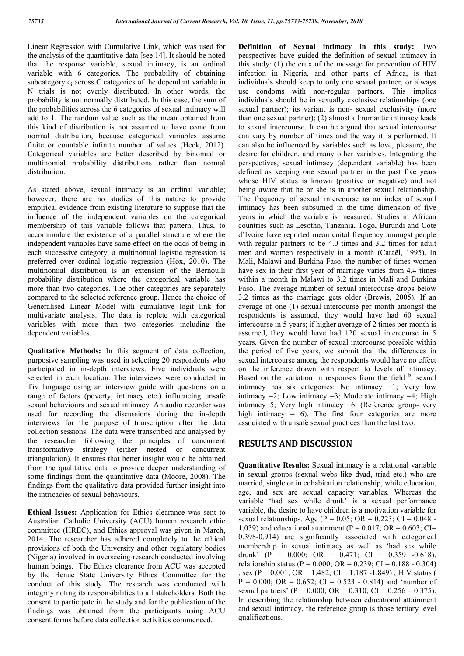Linear Regression with Cumulative Link, which was used for the analysis of the quantitative data [see 14]. It should be noted that the response variable, sexual intimacy, is an ordinal variable with 6 categories. The probability of obtaining subcategory c<sub>i</sub> across C categories of the dependent variable in N trials is not evenly distributed. In other words, the probability is not normally distributed. In this case, the sum of the probabilities across the 6 categories of sexual intimacy will add to 1. The random value such as the mean obtained from this kind of distribution is not assumed to have come from normal distribution, because categorical variables assume finite or countable infinite number of values (Heck, 2012). Categorical variables are better described by binomial or multinomial probability distributions rather than normal distribution.

As stated above, sexual intimacy is an ordinal variable; however, there are no studies of this nature to provide empirical evidence from existing literature to suppose that the influence of the independent variables on the categorical membership of this variable follows that pattern. Thus, to accommodate the existence of a parallel structure where the independent variables have same effect on the odds of being in each successive category, a multinomial logistic regression is preferred over ordinal logistic regression (Hox, 2010). The multinomial distribution is an extension of the Bernoulli probability distribution where the categorical variable has more than two categories. The other categories are separately compared to the selected reference group. Hence the choice of Generalised Linear Model with cumulative logit link for multivariate analysis. The data is replete with categorical variables with more than two categories including the dependent variables.

**Qualitative Methods:** In this segment of data collection, purposive sampling was used in selecting 20 respondents who participated in in-depth interviews. Five individuals were selected in each location. The interviews were conducted in Tiv language using an interview guide with questions on a range of factors (poverty, intimacy etc.) influencing unsafe sexual behaviours and sexual intimacy. An audio recorder was used for recording the discussions during the in-depth interviews for the purpose of transcription after the data collection sessions. The data were transcribed and analysed by the researcher following the principles of concurrent transformative strategy (either nested or concurrent triangulation). It ensures that better insight would be obtained from the qualitative data to provide deeper understanding of some findings from the quantitative data (Moore, 2008). The findings from the qualitative data provided further insight into the intricacies of sexual behaviours.

**Ethical Issues:** Application for Ethics clearance was sent to Australian Catholic University (ACU) human research ethic committee (HREC), and Ethics approval was given in March, 2014. The researcher has adhered completely to the ethical provisions of both the University and other regulatory bodies (Nigeria) involved in overseeing research conducted involving human beings. The Ethics clearance from ACU was accepted by the Benue State University Ethics Committee for the conduct of this study. The research was conducted with integrity noting its responsibilities to all stakeholders. Both the consent to participate in the study and for the publication of the findings was obtained from the participants using ACU consent forms before data collection activities commenced.

**Definition of Sexual intimacy in this study:** Two perspectives have guided the definition of sexual intimacy in this study: (1) the crux of the message for prevention of HIV infection in Nigeria, and other parts of Africa, is that individuals should keep to only one sexual partner, or always use condoms with non-regular partners. This implies individuals should be in sexually exclusive relationships (one sexual partner); its variant is non- sexual exclusivity (more than one sexual partner); (2) almost all romantic intimacy leads to sexual intercourse. It can be argued that sexual intercourse can vary by number of times and the way it is performed. It can also be influenced by variables such as love, pleasure, the desire for children, and many other variables. Integrating the perspectives, sexual intimacy (dependent variable) has been defined as keeping one sexual partner in the past five years whose HIV status is known (positive or negative) and not being aware that he or she is in another sexual relationship. The frequency of sexual intercourse as an index of sexual intimacy has been subsumed in the time dimension of five years in which the variable is measured. Studies in African countries such as Lesotho, Tanzania, Togo, Burundi and Cote d'Ivoire have reported mean coital frequency amongst people with regular partners to be 4.0 times and 3.2 times for adult men and women respectively in a month (Caraël, 1995). In Mali, Malawi and Burkina Faso, the number of times women have sex in their first year of marriage varies from 4.4 times within a month in Malawi to 3.2 times in Mali and Burkina Faso. The average number of sexual intercourse drops below 3.2 times as the marriage gets older (Brewis, 2005). If an average of one (1) sexual intercourse per month amongst the respondents is assumed, they would have had 60 sexual intercourse in 5 years; if higher average of 2 times per month is assumed, they would have had 120 sexual intercourse in 5 years. Given the number of sexual intercourse possible within the period of five years, we submit that the differences in sexual intercourse among the respondents would have no effect on the inference drawn with respect to levels of intimacy. Based on the variation in responses from the field  $\overline{b}$ , sexual intimacy has six categories: No intimacy =1; Very low intimacy  $=2$ ; Low intimacy  $=3$ ; Moderate intimacy  $=4$ ; High intimacy=5; Very high intimacy =6. (Reference group- very high intimacy  $= 6$ ). The first four categories are more associated with unsafe sexual practices than the last two.

### **RESULTS AND DISCUSSION**

**Quantitative Results:** Sexual intimacy is a relational variable in sexual groups (sexual webs like dyad, triad etc.) who are married, single or in cohabitation relationship, while education, age, and sex are sexual capacity variables. Whereas the variable 'had sex while drunk' is a sexual performance variable, the desire to have children is a motivation variable for sexual relationships. Age (P = 0.05; OR = 0.223; CI = 0.048 -1,039) and educational attainment ( $P = 0.017$ ; OR = 0.603; CI= 0.398-0.914) are significantly associated with categorical membership in sexual intimacy as well as 'had sex while drunk' (P =  $0.000$ ; OR =  $0.471$ ; CI =  $0.359$  -0.618), relationship status (P =  $0.000$ ; OR =  $0.239$ ; CI =  $0.188 - 0.304$ ) , sex (P = 0.001; OR = 1.482; CI = 1.187 -1.849), HIV status (  $P = 0.000$ ;  $OR = 0.652$ ;  $CI = 0.523 - 0.814$  and 'number of sexual partners' (P = 0.000; OR = 0.310; CI = 0.256 – 0.375). In describing the relationship between educational attainment and sexual intimacy, the reference group is those tertiary level qualifications.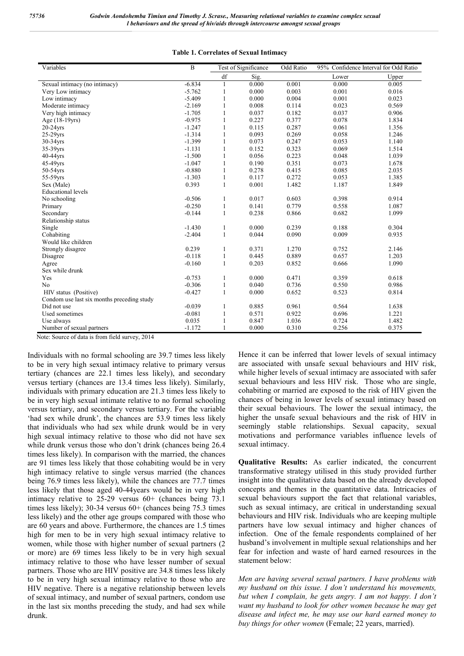#### **Table 1. Correlates of Sexual Intimacy**

| Variables                                  | $\mathbf{B}$ | Test of Significance |       | Odd Ratio | 95% Confidence Interval for Odd Ratio |       |
|--------------------------------------------|--------------|----------------------|-------|-----------|---------------------------------------|-------|
|                                            |              | df                   | Sig.  |           | Lower                                 | Upper |
| Sexual intimacy (no intimacy)              | $-6.834$     | 1                    | 0.000 | 0.001     | 0.000                                 | 0.005 |
| Very Low intimacy                          | $-5.762$     | 1                    | 0.000 | 0.003     | 0.001                                 | 0.016 |
| Low intimacy                               | $-5.409$     | 1                    | 0.000 | 0.004     | 0.001                                 | 0.023 |
| Moderate intimacy                          | $-2.169$     | 1                    | 0.008 | 0.114     | 0.023                                 | 0.569 |
| Very high intimacy                         | $-1.705$     | 1                    | 0.037 | 0.182     | 0.037                                 | 0.906 |
| Age (18-19yrs)                             | $-0.975$     | 1                    | 0.227 | 0.377     | 0.078                                 | 1.834 |
| $20-24$ yrs                                | $-1.247$     | $\mathbf{1}$         | 0.115 | 0.287     | 0.061                                 | 1.356 |
| $25-29$ yrs                                | $-1.314$     | $\mathbf{1}$         | 0.093 | 0.269     | 0.058                                 | 1.246 |
| 30-34yrs                                   | $-1.399$     | $\mathbf{1}$         | 0.073 | 0.247     | 0.053                                 | 1.140 |
| 35-39yrs                                   | $-1.131$     | $\mathbf{1}$         | 0.152 | 0.323     | 0.069                                 | 1.514 |
| 40-44yrs                                   | $-1.500$     | 1                    | 0.056 | 0.223     | 0.048                                 | 1.039 |
| 45-49yrs                                   | $-1.047$     | 1                    | 0.190 | 0.351     | 0.073                                 | 1.678 |
| 50-54yrs                                   | $-0.880$     | 1                    | 0.278 | 0.415     | 0.085                                 | 2.035 |
| 55-59yrs                                   | $-1.303$     | 1                    | 0.117 | 0.272     | 0.053                                 | 1.385 |
| Sex (Male)                                 | 0.393        | 1                    | 0.001 | 1.482     | 1.187                                 | 1.849 |
| <b>Educational</b> levels                  |              |                      |       |           |                                       |       |
| No schooling                               | $-0.506$     | 1                    | 0.017 | 0.603     | 0.398                                 | 0.914 |
| Primary                                    | $-0.250$     | 1                    | 0.141 | 0.779     | 0.558                                 | 1.087 |
| Secondary                                  | $-0.144$     | 1                    | 0.238 | 0.866     | 0.682                                 | 1.099 |
| Relationship status                        |              |                      |       |           |                                       |       |
| Single                                     | $-1.430$     | 1                    | 0.000 | 0.239     | 0.188                                 | 0.304 |
| Cohabiting                                 | $-2.404$     | 1                    | 0.044 | 0.090     | 0.009                                 | 0.935 |
| Would like children                        |              |                      |       |           |                                       |       |
| Strongly disagree                          | 0.239        | 1                    | 0.371 | 1.270     | 0.752                                 | 2.146 |
| Disagree                                   | $-0.118$     | $\mathbf{1}$         | 0.445 | 0.889     | 0.657                                 | 1.203 |
| Agree                                      | $-0.160$     | $\mathbf{1}$         | 0.203 | 0.852     | 0.666                                 | 1.090 |
| Sex while drunk                            |              |                      |       |           |                                       |       |
| Yes                                        | $-0.753$     | 1                    | 0.000 | 0.471     | 0.359                                 | 0.618 |
| N <sub>0</sub>                             | $-0.306$     | $\mathbf{1}$         | 0.040 | 0.736     | 0.550                                 | 0.986 |
| HIV status (Positive)                      | $-0.427$     | $\mathbf{1}$         | 0.000 | 0.652     | 0.523                                 | 0.814 |
| Condom use last six months preceding study |              |                      |       |           |                                       |       |
| Did not use                                | $-0.039$     | 1                    | 0.885 | 0.961     | 0.564                                 | 1.638 |
| Used sometimes                             | $-0.081$     | 1                    | 0.571 | 0.922     | 0.696                                 | 1.221 |
| Use always                                 | 0.035        |                      | 0.847 | 1.036     | 0.724                                 | 1.482 |
| Number of sexual partners                  | $-1.172$     |                      | 0.000 | 0.310     | 0.256                                 | 0.375 |

Note: Source of data is from field survey, 2014

Individuals with no formal schooling are 39.7 times less likely to be in very high sexual intimacy relative to primary versus tertiary (chances are 22.1 times less likely), and secondary versus tertiary (chances are 13.4 times less likely). Similarly, individuals with primary education are 21.3 times less likely to be in very high sexual intimate relative to no formal schooling versus tertiary, and secondary versus tertiary. For the variable 'had sex while drunk', the chances are 53.9 times less likely that individuals who had sex while drunk would be in very high sexual intimacy relative to those who did not have sex while drunk versus those who don't drink (chances being 26.4 times less likely). In comparison with the married, the chances are 91 times less likely that those cohabiting would be in very high intimacy relative to single versus married (the chances being 76.9 times less likely), while the chances are 77.7 times less likely that those aged 40-44years would be in very high intimacy relative to 25-29 versus 60+ (chances being 73.1 times less likely); 30-34 versus  $60+$  (chances being 75.3 times less likely) and the other age groups compared with those who are 60 years and above. Furthermore, the chances are 1.5 times high for men to be in very high sexual intimacy relative to women, while those with higher number of sexual partners (2 or more) are 69 times less likely to be in very high sexual intimacy relative to those who have lesser number of sexual partners. Those who are HIV positive are 34.8 times less likely to be in very high sexual intimacy relative to those who are HIV negative. There is a negative relationship between levels of sexual intimacy, and number of sexual partners, condom use in the last six months preceding the study, and had sex while drunk.

Hence it can be inferred that lower levels of sexual intimacy are associated with unsafe sexual behaviours and HIV risk, while higher levels of sexual intimacy are associated with safer sexual behaviours and less HIV risk. Those who are single, cohabiting or married are exposed to the risk of HIV given the chances of being in lower levels of sexual intimacy based on their sexual behaviours. The lower the sexual intimacy, the higher the unsafe sexual behaviours and the risk of HIV in seemingly stable relationships. Sexual capacity, sexual motivations and performance variables influence levels of sexual intimacy.

**Qualitative Results:** As earlier indicated, the concurrent transformative strategy utilised in this study provided further insight into the qualitative data based on the already developed concepts and themes in the quantitative data. Intricacies of sexual behaviours support the fact that relational variables, such as sexual intimacy, are critical in understanding sexual behaviours and HIV risk. Individuals who are keeping multiple partners have low sexual intimacy and higher chances of infection. One of the female respondents complained of her husband's involvement in multiple sexual relationships and her fear for infection and waste of hard earned resources in the statement below:

*Men are having several sexual partners. I have problems with my husband on this issue. I don't understand his movements, but when I complain, he gets angry. I am not happy. I don't want my husband to look for other women because he may get disease and infect me, he may use our hard earned money to buy things for other women* (Female; 22 years, married).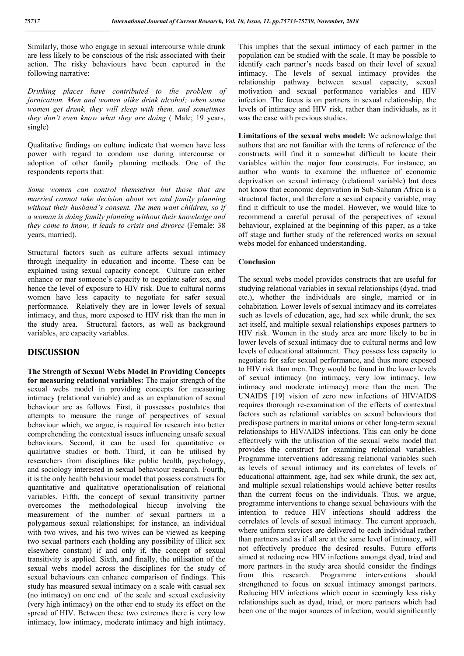Similarly, those who engage in sexual intercourse while drunk are less likely to be conscious of the risk associated with their action. The risky behaviours have been captured in the following narrative:

*Drinking places have contributed to the problem of fornication. Men and women alike drink alcohol; when some women get drunk, they will sleep with them, and sometimes they don't even know what they are doing* ( Male; 19 years, single)

Qualitative findings on culture indicate that women have less power with regard to condom use during intercourse or adoption of other family planning methods. One of the respondents reports that:

*Some women can control themselves but those that are married cannot take decision about sex and family planning without their husband's consent. The men want children, so if a woman is doing family planning without their knowledge and they come to know, it leads to crisis and divorce* (Female; 38 years, married).

Structural factors such as culture affects sexual intimacy through inequality in education and income. These can be explained using sexual capacity concept. Culture can either enhance or mar someone's capacity to negotiate safer sex, and hence the level of exposure to HIV risk. Due to cultural norms women have less capacity to negotiate for safer sexual performance. Relatively they are in lower levels of sexual intimacy, and thus, more exposed to HIV risk than the men in the study area. Structural factors, as well as background variables, are capacity variables.

### **DISCUSSION**

**The Strength of Sexual Webs Model in Providing Concepts for measuring relational variables:** The major strength of the sexual webs model in providing concepts for measuring intimacy (relational variable) and as an explanation of sexual behaviour are as follows. First, it possesses postulates that attempts to measure the range of perspectives of sexual behaviour which, we argue, is required for research into better comprehending the contextual issues influencing unsafe sexual behaviours. Second, it can be used for quantitative or qualitative studies or both. Third, it can be utilised by researchers from disciplines like public health, psychology, and sociology interested in sexual behaviour research. Fourth, it is the only health behaviour model that possess constructs for quantitative and qualitative operationalisation of relational variables. Fifth, the concept of sexual transitivity partner overcomes the methodological hiccup involving the measurement of the number of sexual partners in a polygamous sexual relationships; for instance, an individual with two wives, and his two wives can be viewed as keeping two sexual partners each (holding any possibility of illicit sex elsewhere constant) if and only if, the concept of sexual transitivity is applied. Sixth, and finally, the utilisation of the sexual webs model across the disciplines for the study of sexual behaviours can enhance comparison of findings. This study has measured sexual intimacy on a scale with casual sex (no intimacy) on one end of the scale and sexual exclusivity (very high intimacy) on the other end to study its effect on the spread of HIV. Between these two extremes there is very low intimacy, low intimacy, moderate intimacy and high intimacy.

This implies that the sexual intimacy of each partner in the population can be studied with the scale. It may be possible to identify each partner's needs based on their level of sexual intimacy. The levels of sexual intimacy provides the relationship pathway between sexual capacity, sexual motivation and sexual performance variables and HIV infection. The focus is on partners in sexual relationship, the levels of intimacy and HIV risk, rather than individuals, as it was the case with previous studies.

**Limitations of the sexual webs model:** We acknowledge that authors that are not familiar with the terms of reference of the constructs will find it a somewhat difficult to locate their variables within the major four constructs. For instance, an author who wants to examine the influence of economic deprivation on sexual intimacy (relational variable) but does not know that economic deprivation in Sub-Saharan Africa is a structural factor, and therefore a sexual capacity variable, may find it difficult to use the model. However, we would like to recommend a careful perusal of the perspectives of sexual behaviour, explained at the beginning of this paper, as a take off stage and further study of the referenced works on sexual webs model for enhanced understanding.

#### **Conclusion**

The sexual webs model provides constructs that are useful for studying relational variables in sexual relationships (dyad, triad etc.), whether the individuals are single, married or in cohabitation. Lower levels of sexual intimacy and its correlates such as levels of education, age, had sex while drunk, the sex act itself, and multiple sexual relationships exposes partners to HIV risk. Women in the study area are more likely to be in lower levels of sexual intimacy due to cultural norms and low levels of educational attainment. They possess less capacity to negotiate for safer sexual performance, and thus more exposed to HIV risk than men. They would be found in the lower levels of sexual intimacy (no intimacy, very low intimacy, low intimacy and moderate intimacy) more than the men. The UNAIDS [19] vision of zero new infections of HIV/AIDS requires thorough re-examination of the effects of contextual factors such as relational variables on sexual behaviours that predispose partners in marital unions or other long-term sexual relationships to HIV/AIDS infections. This can only be done effectively with the utilisation of the sexual webs model that provides the construct for examining relational variables. Programme interventions addressing relational variables such as levels of sexual intimacy and its correlates of levels of educational attainment, age, had sex while drunk, the sex act, and multiple sexual relationships would achieve better results than the current focus on the individuals. Thus, we argue, programme interventions to change sexual behaviours with the intention to reduce HIV infections should address the correlates of levels of sexual intimacy. The current approach, where uniform services are delivered to each individual rather than partners and as if all are at the same level of intimacy, will not effectively produce the desired results. Future efforts aimed at reducing new HIV infections amongst dyad, triad and more partners in the study area should consider the findings from this research. Programme interventions should strengthened to focus on sexual intimacy amongst partners. Reducing HIV infections which occur in seemingly less risky relationships such as dyad, triad, or more partners which had been one of the major sources of infection, would significantly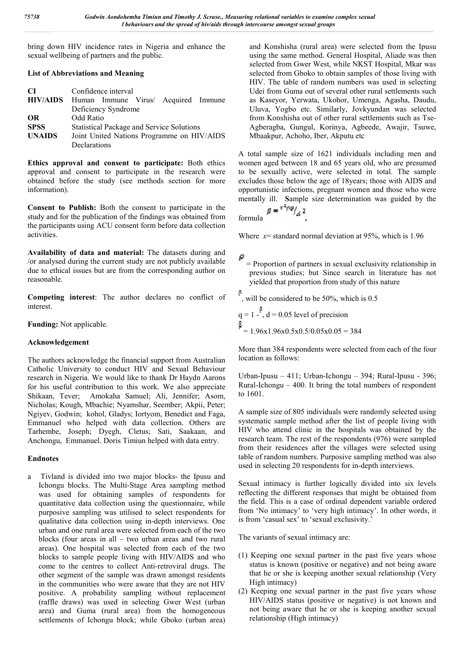bring down HIV incidence rates in Nigeria and enhance the sexual wellbeing of partners and the public.

#### **List of Abbreviations and Meaning**

| CI.             | Confidence interval                              |  |  |  |  |  |  |
|-----------------|--------------------------------------------------|--|--|--|--|--|--|
| <b>HIV/AIDS</b> | Human Immune Virus/ Acquired Immune              |  |  |  |  |  |  |
|                 | Deficiency Syndrome                              |  |  |  |  |  |  |
| <b>OR</b>       | Odd Ratio                                        |  |  |  |  |  |  |
| <b>SPSS</b>     | <b>Statistical Package and Service Solutions</b> |  |  |  |  |  |  |
| <b>UNAIDS</b>   | Joint United Nations Programme on HIV/AIDS       |  |  |  |  |  |  |
|                 | Declarations                                     |  |  |  |  |  |  |

**Ethics approval and consent to participate:** Both ethics approval and consent to participate in the research were obtained before the study (see methods section for more information).

**Consent to Publish:** Both the consent to participate in the study and for the publication of the findings was obtained from the participants using ACU consent form before data collection activities.

**Availability of data and material:** The datasets during and /or analysed during the current study are not publicly available due to ethical issues but are from the corresponding author on reasonable.

**Competing interest**: The author declares no conflict of interest.

**Funding:** Not applicable.

### **Acknowledgement**

The authors acknowledge the financial support from Australian Catholic University to conduct HIV and Sexual Behaviour research in Nigeria. We would like to thank Dr Haydn Aarons for his useful contribution to this work. We also appreciate Shikaan, Tever; Amokaha Samuel; Ali, Jennifer; Asom, Nicholas; Kough, Mbachie; Nyamshar, Seember; Akpii, Peter; Ngiyev, Godwin; kohol, Gladys; Iortyom, Benedict and Faga, Emmanuel who helped with data collection. Others are Tarhembe, Joseph; Dyegh, Cletus; Sati, Saakaan, and Anchongu, Emmanuel. Doris Timiun helped with data entry.

### **Endnotes**

a Tivland is divided into two major blocks- the Ipusu and Ichongu blocks. The Multi-Stage Area sampling method was used for obtaining samples of respondents for quantitative data collection using the questionnaire, while purposive sampling was utilised to select respondents for qualitative data collection using in-depth interviews. One urban and one rural area were selected from each of the two blocks (four areas in all – two urban areas and two rural areas). One hospital was selected from each of the two blocks to sample people living with HIV/AIDS and who come to the centres to collect Anti-retroviral drugs. The other segment of the sample was drawn amongst residents in the communities who were aware that they are not HIV positive. A probability sampling without replacement (raffle draws) was used in selecting Gwer West (urban area) and Guma (rural area) from the homogeneous settlements of Ichongu block; while Gboko (urban area)

and Konshisha (rural area) were selected from the Ipusu using the same method. General Hospital, Aliade was then selected from Gwer West, while NKST Hospital, Mkar was selected from Gboko to obtain samples of those living with HIV. The table of random numbers was used in selecting Udei from Guma out of several other rural settlements such as Kaseyor, Yerwata, Ukohor, Umenga, Agasha, Daudu, Uluva, Yogbo etc. Similarly, Jovkyundan was selected from Konshisha out of other rural settlements such as Tse-Agberagba, Gungul, Korinya, Agbeede, Awajir, Tsuwe, Mbaakpur, Achoho, Iber, Akputu etc

A total sample size of 1621 individuals including men and women aged between 18 and 65 years old, who are presumed to be sexually active, were selected in total. The sample excludes those below the age of 18years; those with AIDS and opportunistic infections, pregnant women and those who were mentally ill. **Sample size determination was guided by the**  $\beta = \frac{x^2 n q}{d^2}$ 

formula **,** 

Where *x*= standard normal deviation at 95%, which is 1.96

- = Proportion of partners in sexual exclusivity relationship in previous studies; but Since search in literature has not yielded that proportion from study of this nature
- $\int$ <sup>p</sup>, will be considered to be 50%, which is 0.5

 $q = 1 - \frac{\rho}{\rho}$ , d = 0.05 level of precision  $\beta$  = 1.96x1.96x0.5x0.5/0.05x0.05 = 384

More than 384 respondents were selected from each of the four location as follows:

Urban-Ipusu – 411; Urban-Ichongu – 394; Rural-Ipusu - 396; Rural-Ichongu – 400. It bring the total numbers of respondent to 1601.

A sample size of 805 individuals were randomly selected using systematic sample method after the list of people living with HIV who attend clinic in the hospitals was obtained by the research team. The rest of the respondents (976) were sampled from their residences after the villages were selected using table of random numbers. Purposive sampling method was also used in selecting 20 respondents for in-depth interviews.

Sexual intimacy is further logically divided into six levels reflecting the different responses that might be obtained from the field. This is a case of ordinal dependent variable ordered from 'No intimacy' to 'very high intimacy'. In other words, it is from 'casual sex' to 'sexual exclusivity.'

The variants of sexual intimacy are:

- (1) Keeping one sexual partner in the past five years whose status is known (positive or negative) and not being aware that he or she is keeping another sexual relationship (Very High intimacy)
- (2) Keeping one sexual partner in the past five years whose HIV/AIDS status (positive or negative) is not known and not being aware that he or she is keeping another sexual relationship (High intimacy)